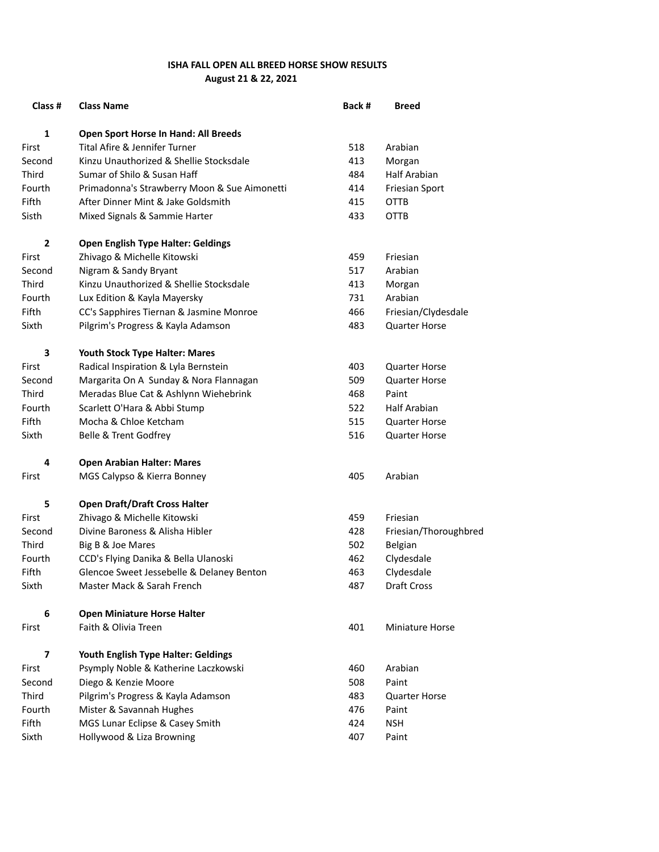## **ISHA FALL OPEN ALL BREED HORSE SHOW RESULTS August 21 & 22, 2021**

| Class #      | <b>Class Name</b>                            | Back # | <b>Breed</b>           |
|--------------|----------------------------------------------|--------|------------------------|
| 1            | Open Sport Horse In Hand: All Breeds         |        |                        |
| First        | Tital Afire & Jennifer Turner                | 518    | Arabian                |
| Second       | Kinzu Unauthorized & Shellie Stocksdale      | 413    | Morgan                 |
| Third        | Sumar of Shilo & Susan Haff                  | 484    | <b>Half Arabian</b>    |
| Fourth       | Primadonna's Strawberry Moon & Sue Aimonetti | 414    | Friesian Sport         |
| Fifth        | After Dinner Mint & Jake Goldsmith           | 415    | OTTB                   |
| Sisth        | Mixed Signals & Sammie Harter                | 433    | <b>OTTB</b>            |
| $\mathbf{2}$ | <b>Open English Type Halter: Geldings</b>    |        |                        |
| First        | Zhivago & Michelle Kitowski                  | 459    | Friesian               |
| Second       | Nigram & Sandy Bryant                        | 517    | Arabian                |
| Third        | Kinzu Unauthorized & Shellie Stocksdale      | 413    | Morgan                 |
| Fourth       | Lux Edition & Kayla Mayersky                 | 731    | Arabian                |
| Fifth        | CC's Sapphires Tiernan & Jasmine Monroe      | 466    | Friesian/Clydesdale    |
| Sixth        | Pilgrim's Progress & Kayla Adamson           | 483    | <b>Quarter Horse</b>   |
| 3            | Youth Stock Type Halter: Mares               |        |                        |
| First        | Radical Inspiration & Lyla Bernstein         | 403    | <b>Quarter Horse</b>   |
| Second       | Margarita On A Sunday & Nora Flannagan       | 509    | <b>Quarter Horse</b>   |
| Third        | Meradas Blue Cat & Ashlynn Wiehebrink        | 468    | Paint                  |
| Fourth       | Scarlett O'Hara & Abbi Stump                 | 522    | <b>Half Arabian</b>    |
| Fifth        | Mocha & Chloe Ketcham                        | 515    | <b>Quarter Horse</b>   |
| Sixth        | Belle & Trent Godfrey                        | 516    | <b>Quarter Horse</b>   |
| 4            | <b>Open Arabian Halter: Mares</b>            |        |                        |
| First        | MGS Calypso & Kierra Bonney                  | 405    | Arabian                |
| 5            | <b>Open Draft/Draft Cross Halter</b>         |        |                        |
| First        | Zhivago & Michelle Kitowski                  | 459    | Friesian               |
| Second       | Divine Baroness & Alisha Hibler              | 428    | Friesian/Thoroughbred  |
| Third        | Big B & Joe Mares                            | 502    | Belgian                |
| Fourth       | CCD's Flying Danika & Bella Ulanoski         | 462    | Clydesdale             |
| Fifth        | Glencoe Sweet Jessebelle & Delaney Benton    | 463    | Clydesdale             |
| Sixth        | Master Mack & Sarah French                   | 487    | <b>Draft Cross</b>     |
| 6            | <b>Open Miniature Horse Halter</b>           |        |                        |
| First        | Faith & Olivia Treen                         | 401    | <b>Miniature Horse</b> |
| 7            | Youth English Type Halter: Geldings          |        |                        |
| First        | Psymply Noble & Katherine Laczkowski         | 460    | Arabian                |
| Second       | Diego & Kenzie Moore                         | 508    | Paint                  |
| Third        | Pilgrim's Progress & Kayla Adamson           | 483    | <b>Quarter Horse</b>   |
| Fourth       | Mister & Savannah Hughes                     | 476    | Paint                  |
| Fifth        | MGS Lunar Eclipse & Casey Smith              | 424    | <b>NSH</b>             |
| Sixth        | Hollywood & Liza Browning                    | 407    | Paint                  |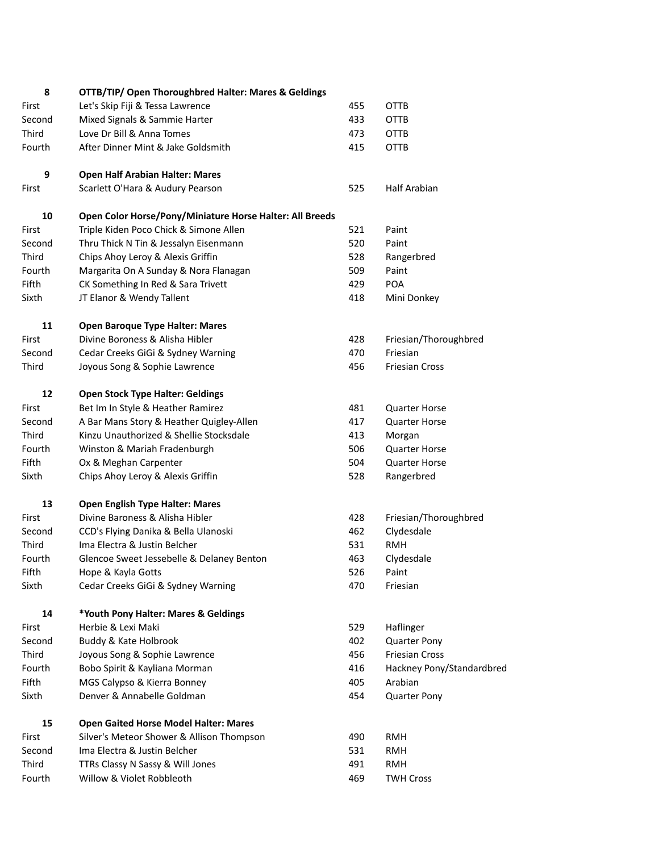| 8      | OTTB/TIP/ Open Thoroughbred Halter: Mares & Geldings                 |     |                           |
|--------|----------------------------------------------------------------------|-----|---------------------------|
| First  | Let's Skip Fiji & Tessa Lawrence                                     | 455 | <b>OTTB</b>               |
| Second | Mixed Signals & Sammie Harter                                        | 433 | <b>OTTB</b>               |
| Third  | Love Dr Bill & Anna Tomes                                            | 473 | <b>OTTB</b>               |
| Fourth | After Dinner Mint & Jake Goldsmith                                   | 415 | <b>OTTB</b>               |
| 9      | <b>Open Half Arabian Halter: Mares</b>                               |     |                           |
| First  | Scarlett O'Hara & Audury Pearson                                     | 525 | Half Arabian              |
| 10     | Open Color Horse/Pony/Miniature Horse Halter: All Breeds             |     |                           |
| First  | Triple Kiden Poco Chick & Simone Allen                               | 521 | Paint                     |
| Second | Thru Thick N Tin & Jessalyn Eisenmann                                | 520 | Paint                     |
| Third  | Chips Ahoy Leroy & Alexis Griffin                                    | 528 | Rangerbred                |
| Fourth | Margarita On A Sunday & Nora Flanagan                                | 509 | Paint                     |
| Fifth  | CK Something In Red & Sara Trivett                                   | 429 | POA                       |
| Sixth  | JT Elanor & Wendy Tallent                                            | 418 | Mini Donkey               |
| 11     | <b>Open Baroque Type Halter: Mares</b>                               |     |                           |
| First  | Divine Boroness & Alisha Hibler                                      | 428 | Friesian/Thoroughbred     |
| Second | Cedar Creeks GiGi & Sydney Warning                                   | 470 | Friesian                  |
| Third  | Joyous Song & Sophie Lawrence                                        | 456 | <b>Friesian Cross</b>     |
| 12     | <b>Open Stock Type Halter: Geldings</b>                              |     |                           |
| First  | Bet Im In Style & Heather Ramirez                                    | 481 | <b>Quarter Horse</b>      |
| Second | A Bar Mans Story & Heather Quigley-Allen                             | 417 | <b>Quarter Horse</b>      |
| Third  | Kinzu Unauthorized & Shellie Stocksdale                              | 413 | Morgan                    |
| Fourth | Winston & Mariah Fradenburgh                                         | 506 | Quarter Horse             |
| Fifth  | Ox & Meghan Carpenter                                                | 504 | <b>Quarter Horse</b>      |
| Sixth  | Chips Ahoy Leroy & Alexis Griffin                                    | 528 | Rangerbred                |
| 13     | <b>Open English Type Halter: Mares</b>                               |     |                           |
| First  | Divine Baroness & Alisha Hibler                                      | 428 | Friesian/Thoroughbred     |
| Second |                                                                      | 462 | Clydesdale                |
| Third  | CCD's Flying Danika & Bella Ulanoski<br>Ima Electra & Justin Belcher | 531 | <b>RMH</b>                |
|        |                                                                      |     |                           |
| Fourth | Glencoe Sweet Jessebelle & Delaney Benton                            | 463 | Clydesdale                |
| Fifth  | Hope & Kayla Gotts                                                   | 526 | Paint                     |
| Sixth  | Cedar Creeks GiGi & Sydney Warning                                   | 470 | Friesian                  |
| 14     | *Youth Pony Halter: Mares & Geldings                                 |     |                           |
| First  | Herbie & Lexi Maki                                                   | 529 | Haflinger                 |
| Second | Buddy & Kate Holbrook                                                | 402 | <b>Quarter Pony</b>       |
| Third  | Joyous Song & Sophie Lawrence                                        | 456 | <b>Friesian Cross</b>     |
| Fourth | Bobo Spirit & Kayliana Morman                                        | 416 | Hackney Pony/Standardbred |
| Fifth  | MGS Calypso & Kierra Bonney                                          | 405 | Arabian                   |
| Sixth  | Denver & Annabelle Goldman                                           | 454 | <b>Quarter Pony</b>       |
| 15     | <b>Open Gaited Horse Model Halter: Mares</b>                         |     |                           |
| First  | Silver's Meteor Shower & Allison Thompson                            | 490 | <b>RMH</b>                |
| Second | Ima Electra & Justin Belcher                                         | 531 | <b>RMH</b>                |
| Third  | TTRs Classy N Sassy & Will Jones                                     | 491 | <b>RMH</b>                |
| Fourth | Willow & Violet Robbleoth                                            | 469 | <b>TWH Cross</b>          |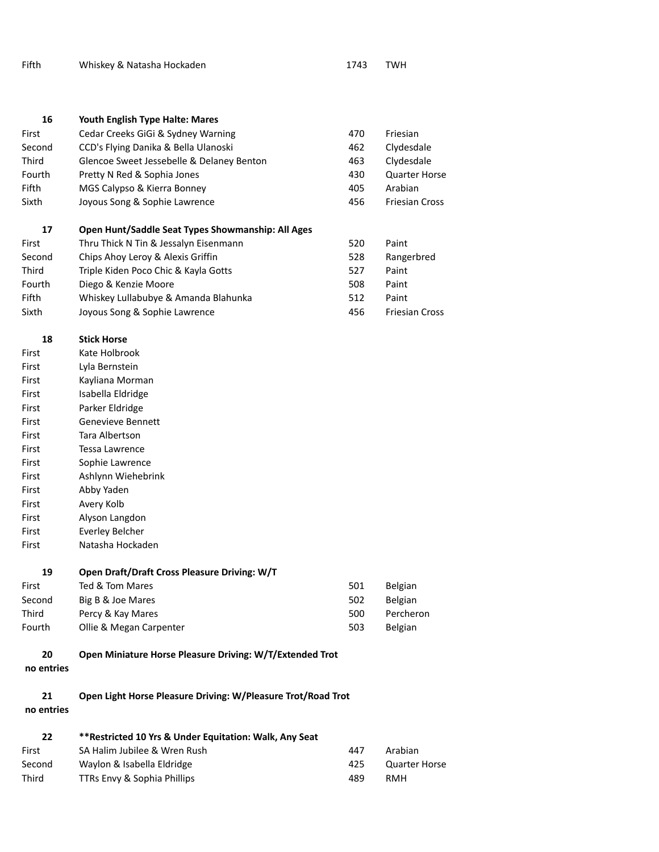| Fifth | Whiskey & Natasha Hockaden | 1743 | TWH |
|-------|----------------------------|------|-----|
|-------|----------------------------|------|-----|

| 16     | Youth English Type Halte: Mares                   |     |                       |
|--------|---------------------------------------------------|-----|-----------------------|
| First  | Cedar Creeks GiGi & Sydney Warning                | 470 | Friesian              |
| Second | CCD's Flying Danika & Bella Ulanoski              | 462 | Clydesdale            |
| Third  | Glencoe Sweet Jessebelle & Delaney Benton         | 463 | Clydesdale            |
| Fourth | Pretty N Red & Sophia Jones                       | 430 | <b>Quarter Horse</b>  |
| Fifth  | MGS Calypso & Kierra Bonney                       | 405 | Arabian               |
| Sixth  | Joyous Song & Sophie Lawrence                     | 456 | <b>Friesian Cross</b> |
| 17     | Open Hunt/Saddle Seat Types Showmanship: All Ages |     |                       |
| First  | Thru Thick N Tin & Jessalyn Eisenmann             | 520 | Paint                 |
| Second | Chips Ahoy Leroy & Alexis Griffin                 | 528 | Rangerbred            |
| Third  | Triple Kiden Poco Chic & Kayla Gotts              | 527 | Paint                 |
| Fourth | Diego & Kenzie Moore                              | 508 | Paint                 |
| Fifth  | Whiskey Lullabubye & Amanda Blahunka              | 512 | Paint                 |
| Sixth  | Joyous Song & Sophie Lawrence                     | 456 | Friesian Cross        |

- **18 Stick Horse**  First Kate Holbrook First Lyla Bernstein First Kayliana Morman First Isabella Eldridge First Parker Eldridge First Genevieve Bennett First Tara Albertson First Tessa Lawrence First Sophie Lawrence First Ashlynn Wiehebrink First Abby Yaden First Avery Kolb First Alyson Langdon First Everley Belcher First Natasha Hockaden
- **19 Open Draft/Draft Cross Pleasure Driving: W/T**  First Ted & Tom Mares **501** Belgian

| гнэг   | ICU Q IUIII IVIDICS     | JUL | <b>DEIRIGHT</b> |
|--------|-------------------------|-----|-----------------|
| Second | Big B & Joe Mares       | 502 | <b>Belgian</b>  |
| Third  | Percy & Kay Mares       | 500 | Percheron       |
| Fourth | Ollie & Megan Carpenter | 503 | <b>Belgian</b>  |
|        |                         |     |                 |

## **20 Open Miniature Horse Pleasure Driving: W/T/Extended Trot**

**no entries**

**21 Open Light Horse Pleasure Driving: W/Pleasure Trot/Road Trot** 

**no entries**

| 22     | ** Restricted 10 Yrs & Under Equitation: Walk, Any Seat |     |               |  |
|--------|---------------------------------------------------------|-----|---------------|--|
| First  | SA Halim Jubilee & Wren Rush                            | 447 | Arabian       |  |
| Second | Waylon & Isabella Eldridge                              | 425 | Quarter Horse |  |
| Third  | TTRs Envy & Sophia Phillips                             | 489 | RMH           |  |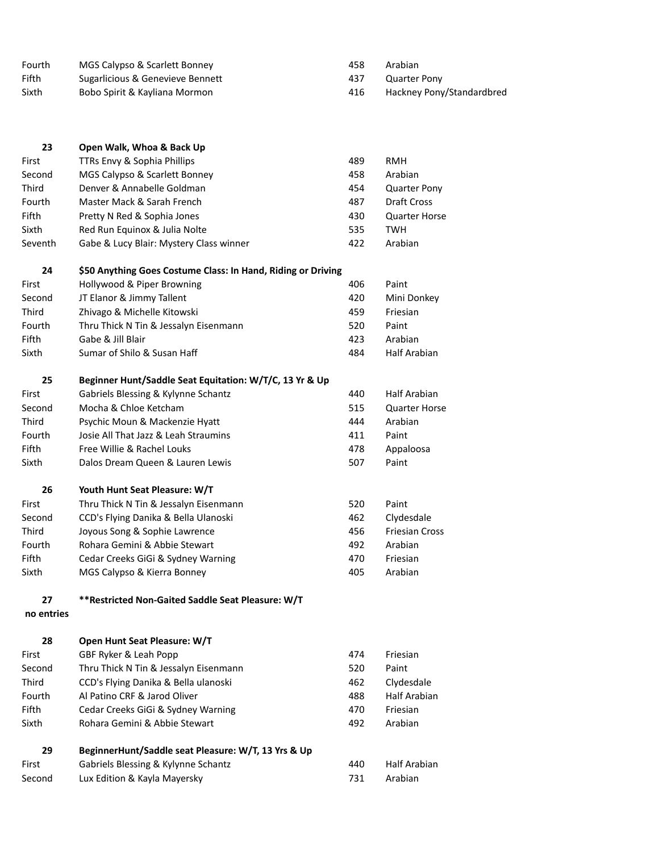| Fourth<br>Fifth | MGS Calypso & Scarlett Bonney<br>Sugarlicious & Genevieve Bennett | 458<br>437 | Arabian<br><b>Quarter Pony</b> |
|-----------------|-------------------------------------------------------------------|------------|--------------------------------|
| Sixth           | Bobo Spirit & Kayliana Mormon                                     | 416        | Hackney Pony/Standardbred      |
|                 |                                                                   |            |                                |
| 23              | Open Walk, Whoa & Back Up                                         |            |                                |
| First           | TTRs Envy & Sophia Phillips                                       | 489        | <b>RMH</b>                     |
| Second          | MGS Calypso & Scarlett Bonney                                     | 458        | Arabian                        |
| Third           | Denver & Annabelle Goldman                                        | 454        | <b>Quarter Pony</b>            |
| Fourth          | Master Mack & Sarah French                                        | 487        | Draft Cross                    |
| Fifth           | Pretty N Red & Sophia Jones                                       | 430        | <b>Quarter Horse</b>           |
| Sixth           | Red Run Equinox & Julia Nolte                                     | 535        | <b>TWH</b>                     |
| Seventh         | Gabe & Lucy Blair: Mystery Class winner                           | 422        | Arabian                        |
| 24              | \$50 Anything Goes Costume Class: In Hand, Riding or Driving      |            |                                |
| First           | Hollywood & Piper Browning                                        | 406        | Paint                          |
| Second          | JT Elanor & Jimmy Tallent                                         | 420        | Mini Donkey                    |
| Third           | Zhivago & Michelle Kitowski                                       | 459        | Friesian                       |
| Fourth          | Thru Thick N Tin & Jessalyn Eisenmann                             | 520        | Paint                          |
| Fifth           | Gabe & Jill Blair<br>Sumar of Shilo & Susan Haff                  | 423<br>484 | Arabian<br>Half Arabian        |
| Sixth           |                                                                   |            |                                |
| 25              | Beginner Hunt/Saddle Seat Equitation: W/T/C, 13 Yr & Up           |            |                                |
| First           | Gabriels Blessing & Kylynne Schantz                               | 440        | Half Arabian                   |
| Second          | Mocha & Chloe Ketcham                                             | 515        | <b>Quarter Horse</b>           |
| Third           | Psychic Moun & Mackenzie Hyatt                                    | 444        | Arabian                        |
| Fourth          | Josie All That Jazz & Leah Straumins                              | 411        | Paint                          |
| Fifth           | Free Willie & Rachel Louks                                        | 478        | Appaloosa                      |
| Sixth           | Dalos Dream Queen & Lauren Lewis                                  | 507        | Paint                          |
| 26              | Youth Hunt Seat Pleasure: W/T                                     |            |                                |
| First           | Thru Thick N Tin & Jessalyn Eisenmann                             | 520        | Paint                          |
| Second          | CCD's Flying Danika & Bella Ulanoski                              | 462        | Clydesdale                     |
| Third           | Joyous Song & Sophie Lawrence                                     | 456        | <b>Friesian Cross</b>          |
| Fourth          | Rohara Gemini & Abbie Stewart                                     | 492        | Arabian                        |
| Fifth           | Cedar Creeks GiGi & Sydney Warning                                | 470        | Friesian                       |
| Sixth           | MGS Calypso & Kierra Bonney                                       | 405        | Arabian                        |
| 27              | **Restricted Non-Gaited Saddle Seat Pleasure: W/T                 |            |                                |
| no entries      |                                                                   |            |                                |
| 28              | Open Hunt Seat Pleasure: W/T                                      |            |                                |
| First           | GBF Ryker & Leah Popp                                             | 474        | Friesian                       |
| Second          | Thru Thick N Tin & Jessalyn Eisenmann                             | 520        | Paint                          |
| Third           | CCD's Flying Danika & Bella ulanoski                              | 462        | Clydesdale                     |
| Fourth          | Al Patino CRF & Jarod Oliver                                      | 488        | <b>Half Arabian</b>            |
| Fifth           | Cedar Creeks GiGi & Sydney Warning                                | 470        | Friesian                       |
| Sixth           | Rohara Gemini & Abbie Stewart                                     | 492        | Arabian                        |
| 29              | BeginnerHunt/Saddle seat Pleasure: W/T, 13 Yrs & Up               |            |                                |
| First           | Gabriels Blessing & Kylynne Schantz                               | 440        | Half Arabian                   |

Second Lux Edition & Kayla Mayersky **731** Arabian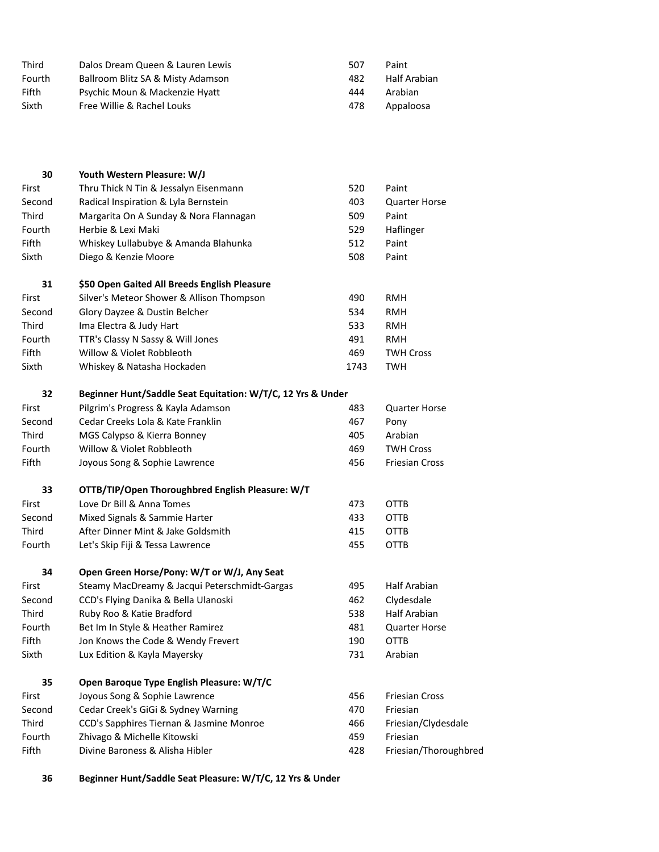| Third  | Dalos Dream Queen & Lauren Lewis  | 507 | Paint        |
|--------|-----------------------------------|-----|--------------|
| Fourth | Ballroom Blitz SA & Misty Adamson | 482 | Half Arabian |
| Fifth  | Psychic Moun & Mackenzie Hyatt    | 444 | Arabian      |
| Sixth  | Free Willie & Rachel Louks        | 478 | Appaloosa    |

| 30     | Youth Western Pleasure: W/J                                 |      |                       |
|--------|-------------------------------------------------------------|------|-----------------------|
| First  | Thru Thick N Tin & Jessalyn Eisenmann                       | 520  | Paint                 |
| Second | Radical Inspiration & Lyla Bernstein                        | 403  | <b>Quarter Horse</b>  |
| Third  | Margarita On A Sunday & Nora Flannagan                      | 509  | Paint                 |
| Fourth | Herbie & Lexi Maki                                          | 529  | Haflinger             |
| Fifth  | Whiskey Lullabubye & Amanda Blahunka                        | 512  | Paint                 |
| Sixth  | Diego & Kenzie Moore                                        | 508  | Paint                 |
| 31     | \$50 Open Gaited All Breeds English Pleasure                |      |                       |
| First  | Silver's Meteor Shower & Allison Thompson                   | 490  | <b>RMH</b>            |
| Second | Glory Dayzee & Dustin Belcher                               | 534  | RMH                   |
| Third  | Ima Electra & Judy Hart                                     | 533  | <b>RMH</b>            |
| Fourth | TTR's Classy N Sassy & Will Jones                           | 491  | RMH                   |
| Fifth  | Willow & Violet Robbleoth                                   | 469  | <b>TWH Cross</b>      |
| Sixth  | Whiskey & Natasha Hockaden                                  | 1743 | <b>TWH</b>            |
| 32     | Beginner Hunt/Saddle Seat Equitation: W/T/C, 12 Yrs & Under |      |                       |
| First  | Pilgrim's Progress & Kayla Adamson                          | 483  | <b>Quarter Horse</b>  |
| Second | Cedar Creeks Lola & Kate Franklin                           | 467  | Pony                  |
| Third  | MGS Calypso & Kierra Bonney                                 | 405  | Arabian               |
| Fourth | Willow & Violet Robbleoth                                   | 469  | <b>TWH Cross</b>      |
| Fifth  | Joyous Song & Sophie Lawrence                               | 456  | <b>Friesian Cross</b> |
| 33     | OTTB/TIP/Open Thoroughbred English Pleasure: W/T            |      |                       |
| First  | Love Dr Bill & Anna Tomes                                   | 473  | <b>OTTB</b>           |
| Second | Mixed Signals & Sammie Harter                               | 433  | OTTB                  |
| Third  | After Dinner Mint & Jake Goldsmith                          | 415  | OTTB                  |
| Fourth | Let's Skip Fiji & Tessa Lawrence                            | 455  | <b>OTTB</b>           |
| 34     | Open Green Horse/Pony: W/T or W/J, Any Seat                 |      |                       |
| First  | Steamy MacDreamy & Jacqui Peterschmidt-Gargas               | 495  | Half Arabian          |
| Second | CCD's Flying Danika & Bella Ulanoski                        | 462  | Clydesdale            |
| Third  | Ruby Roo & Katie Bradford                                   | 538  | <b>Half Arabian</b>   |
| Fourth | Bet Im In Style & Heather Ramirez                           | 481  | <b>Quarter Horse</b>  |
| Fifth  | Jon Knows the Code & Wendy Frevert                          | 190  | OTTB                  |
| Sixth  | Lux Edition & Kayla Mayersky                                | 731  | Arabian               |
| 35     | Open Baroque Type English Pleasure: W/T/C                   |      |                       |
| First  | Joyous Song & Sophie Lawrence                               | 456  | <b>Friesian Cross</b> |
| Second | Cedar Creek's GiGi & Sydney Warning                         | 470  | Friesian              |
| Third  | CCD's Sapphires Tiernan & Jasmine Monroe                    | 466  | Friesian/Clydesdale   |
| Fourth | Zhivago & Michelle Kitowski                                 | 459  | Friesian              |
| Fifth  | Divine Baroness & Alisha Hibler                             | 428  | Friesian/Thoroughbred |

**36 Beginner Hunt/Saddle Seat Pleasure: W/T/C, 12 Yrs & Under**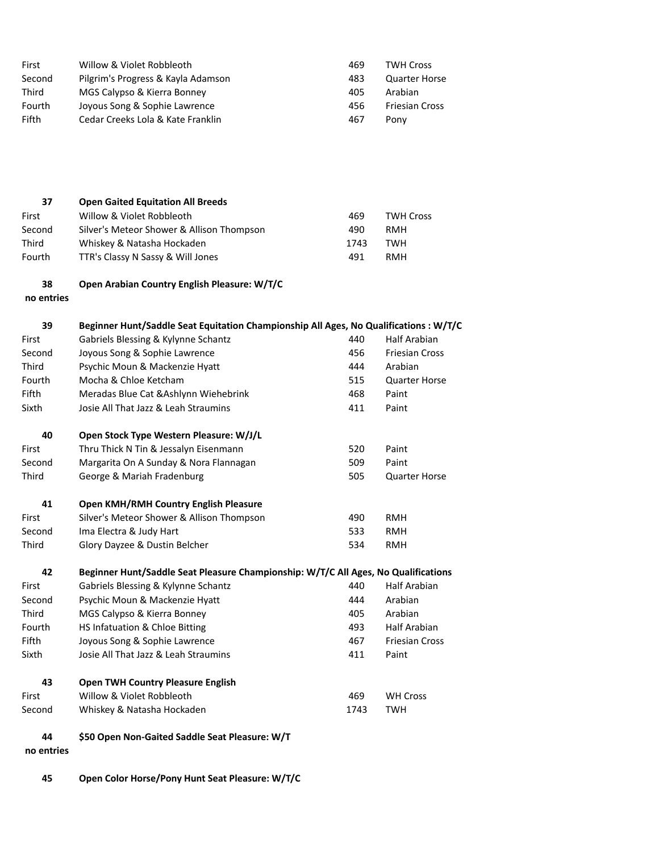| First       | Willow & Violet Robbleoth                                                             | 469  | <b>TWH Cross</b>      |
|-------------|---------------------------------------------------------------------------------------|------|-----------------------|
| Second      | Pilgrim's Progress & Kayla Adamson                                                    | 483  | <b>Quarter Horse</b>  |
| Third       | MGS Calypso & Kierra Bonney                                                           | 405  | Arabian               |
| Fourth      | Joyous Song & Sophie Lawrence                                                         | 456  | <b>Friesian Cross</b> |
| Fifth       | Cedar Creeks Lola & Kate Franklin                                                     | 467  | Pony                  |
|             |                                                                                       |      |                       |
|             |                                                                                       |      |                       |
|             |                                                                                       |      |                       |
|             |                                                                                       |      |                       |
|             |                                                                                       |      |                       |
| 37          | <b>Open Gaited Equitation All Breeds</b>                                              |      |                       |
| First       | Willow & Violet Robbleoth                                                             | 469  | <b>TWH Cross</b>      |
| Second      | Silver's Meteor Shower & Allison Thompson                                             | 490  | <b>RMH</b>            |
| Third       | Whiskey & Natasha Hockaden                                                            | 1743 | <b>TWH</b>            |
| Fourth      | TTR's Classy N Sassy & Will Jones                                                     | 491  | <b>RMH</b>            |
| 38          | Open Arabian Country English Pleasure: W/T/C                                          |      |                       |
| no entries  |                                                                                       |      |                       |
|             |                                                                                       |      |                       |
| 39          | Beginner Hunt/Saddle Seat Equitation Championship All Ages, No Qualifications : W/T/C |      |                       |
| First       | Gabriels Blessing & Kylynne Schantz                                                   | 440  | <b>Half Arabian</b>   |
| Second      | Joyous Song & Sophie Lawrence                                                         | 456  | <b>Friesian Cross</b> |
| Third       | Psychic Moun & Mackenzie Hyatt                                                        | 444  | Arabian               |
| Fourth      | Mocha & Chloe Ketcham                                                                 | 515  | <b>Quarter Horse</b>  |
| Fifth       | Meradas Blue Cat & Ashlynn Wiehebrink                                                 | 468  | Paint                 |
| Sixth       | Josie All That Jazz & Leah Straumins                                                  | 411  | Paint                 |
|             |                                                                                       |      |                       |
| 40          | Open Stock Type Western Pleasure: W/J/L                                               |      |                       |
| First       | Thru Thick N Tin & Jessalyn Eisenmann                                                 | 520  | Paint                 |
| Second      | Margarita On A Sunday & Nora Flannagan                                                | 509  | Paint                 |
| Third       | George & Mariah Fradenburg                                                            | 505  | <b>Quarter Horse</b>  |
| 41          | Open KMH/RMH Country English Pleasure                                                 |      |                       |
| First       | Silver's Meteor Shower & Allison Thompson                                             | 490  | <b>RMH</b>            |
| Second      | Ima Electra & Judy Hart                                                               | 533  | RMH                   |
| Third       | Glory Dayzee & Dustin Belcher                                                         | 534  | <b>RMH</b>            |
|             |                                                                                       |      |                       |
| 42          | Beginner Hunt/Saddle Seat Pleasure Championship: W/T/C All Ages, No Qualifications    |      |                       |
| First       | Gabriels Blessing & Kylynne Schantz                                                   | 440  | Half Arabian          |
| Second      | Psychic Moun & Mackenzie Hyatt                                                        | 444  | Arabian               |
| Third       | MGS Calypso & Kierra Bonney                                                           | 405  | Arabian               |
| Fourth      | HS Infatuation & Chloe Bitting                                                        | 493  | Half Arabian          |
| Fifth       | Joyous Song & Sophie Lawrence                                                         | 467  | <b>Friesian Cross</b> |
| Sixth       | Josie All That Jazz & Leah Straumins                                                  | 411  | Paint                 |
|             |                                                                                       |      |                       |
| 43<br>First | <b>Open TWH Country Pleasure English</b><br>Willow & Violet Robbleoth                 | 469  | <b>WH Cross</b>       |
| Second      |                                                                                       | 1743 | <b>TWH</b>            |
|             | Whiskey & Natasha Hockaden                                                            |      |                       |
| 44          | \$50 Open Non-Gaited Saddle Seat Pleasure: W/T                                        |      |                       |
| no entries  |                                                                                       |      |                       |

- 
- **45 Open Color Horse/Pony Hunt Seat Pleasure: W/T/C**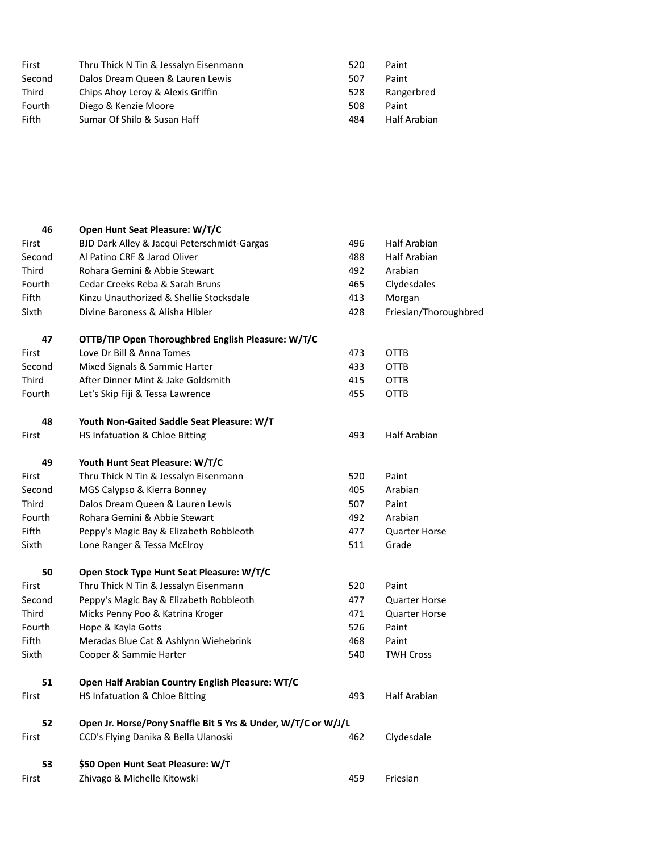| First  | Thru Thick N Tin & Jessalyn Eisenmann | 520 | Paint        |
|--------|---------------------------------------|-----|--------------|
| Second | Dalos Dream Queen & Lauren Lewis      | 507 | Paint        |
| Third  | Chips Ahoy Leroy & Alexis Griffin     | 528 | Rangerbred   |
| Fourth | Diego & Kenzie Moore                  | 508 | Paint        |
| Fifth  | Sumar Of Shilo & Susan Haff           | 484 | Half Arabian |

| 46           | Open Hunt Seat Pleasure: W/T/C                                |     |                       |
|--------------|---------------------------------------------------------------|-----|-----------------------|
| First        | BJD Dark Alley & Jacqui Peterschmidt-Gargas                   | 496 | Half Arabian          |
| Second       | Al Patino CRF & Jarod Oliver                                  | 488 | Half Arabian          |
| Third        | Rohara Gemini & Abbie Stewart                                 | 492 | Arabian               |
| Fourth       | Cedar Creeks Reba & Sarah Bruns                               | 465 | Clydesdales           |
| Fifth        | Kinzu Unauthorized & Shellie Stocksdale                       | 413 | Morgan                |
| Sixth        | Divine Baroness & Alisha Hibler                               | 428 | Friesian/Thoroughbred |
| 47           | OTTB/TIP Open Thoroughbred English Pleasure: W/T/C            |     |                       |
| First        | Love Dr Bill & Anna Tomes                                     | 473 | <b>OTTB</b>           |
| Second       | Mixed Signals & Sammie Harter                                 | 433 | OTTB                  |
| <b>Third</b> | After Dinner Mint & Jake Goldsmith                            | 415 | OTTB                  |
| Fourth       | Let's Skip Fiji & Tessa Lawrence                              | 455 | OTTB                  |
| 48           | Youth Non-Gaited Saddle Seat Pleasure: W/T                    |     |                       |
| First        | HS Infatuation & Chloe Bitting                                | 493 | <b>Half Arabian</b>   |
| 49           | Youth Hunt Seat Pleasure: W/T/C                               |     |                       |
| First        | Thru Thick N Tin & Jessalyn Eisenmann                         | 520 | Paint                 |
| Second       | MGS Calypso & Kierra Bonney                                   | 405 | Arabian               |
| Third        | Dalos Dream Queen & Lauren Lewis                              | 507 | Paint                 |
| Fourth       | Rohara Gemini & Abbie Stewart                                 | 492 | Arabian               |
| Fifth        | Peppy's Magic Bay & Elizabeth Robbleoth                       | 477 | <b>Quarter Horse</b>  |
| Sixth        | Lone Ranger & Tessa McElroy                                   | 511 | Grade                 |
| 50           | Open Stock Type Hunt Seat Pleasure: W/T/C                     |     |                       |
| First        | Thru Thick N Tin & Jessalyn Eisenmann                         | 520 | Paint                 |
| Second       | Peppy's Magic Bay & Elizabeth Robbleoth                       | 477 | <b>Quarter Horse</b>  |
| Third        | Micks Penny Poo & Katrina Kroger                              | 471 | <b>Quarter Horse</b>  |
| Fourth       | Hope & Kayla Gotts                                            | 526 | Paint                 |
| Fifth        | Meradas Blue Cat & Ashlynn Wiehebrink                         | 468 | Paint                 |
| Sixth        | Cooper & Sammie Harter                                        | 540 | <b>TWH Cross</b>      |
| 51           | Open Half Arabian Country English Pleasure: WT/C              |     |                       |
| First        | HS Infatuation & Chloe Bitting                                | 493 | <b>Half Arabian</b>   |
| 52           | Open Jr. Horse/Pony Snaffle Bit 5 Yrs & Under, W/T/C or W/J/L |     |                       |
| First        | CCD's Flying Danika & Bella Ulanoski                          | 462 | Clydesdale            |
| 53           | \$50 Open Hunt Seat Pleasure: W/T                             |     |                       |
| First        | Zhivago & Michelle Kitowski                                   | 459 | Friesian              |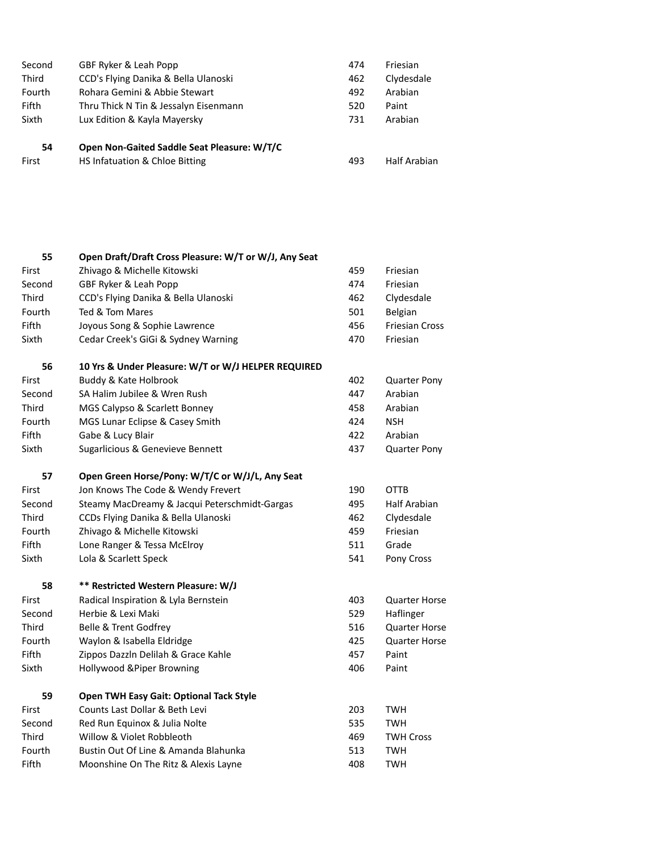| Second       | GBF Ryker & Leah Popp                       | 474 | Friesian     |
|--------------|---------------------------------------------|-----|--------------|
| <b>Third</b> | CCD's Flying Danika & Bella Ulanoski        | 462 | Clydesdale   |
| Fourth       | Rohara Gemini & Abbie Stewart               | 492 | Arabian      |
| Fifth        | Thru Thick N Tin & Jessalyn Eisenmann       | 520 | Paint        |
| Sixth        | Lux Edition & Kayla Mayersky                | 731 | Arabian      |
| 54           | Open Non-Gaited Saddle Seat Pleasure: W/T/C |     |              |
| First        | HS Infatuation & Chloe Bitting              | 493 | Half Arabian |

| 55     | Open Draft/Draft Cross Pleasure: W/T or W/J, Any Seat |     |                       |
|--------|-------------------------------------------------------|-----|-----------------------|
| First  | Zhivago & Michelle Kitowski                           | 459 | Friesian              |
| Second | GBF Ryker & Leah Popp                                 | 474 | Friesian              |
| Third  | CCD's Flying Danika & Bella Ulanoski                  | 462 | Clydesdale            |
| Fourth | Ted & Tom Mares                                       | 501 | Belgian               |
| Fifth  | Joyous Song & Sophie Lawrence                         | 456 | <b>Friesian Cross</b> |
| Sixth  | Cedar Creek's GiGi & Sydney Warning                   | 470 | Friesian              |
| 56     | 10 Yrs & Under Pleasure: W/T or W/J HELPER REQUIRED   |     |                       |
| First  | Buddy & Kate Holbrook                                 | 402 | <b>Quarter Pony</b>   |
| Second | SA Halim Jubilee & Wren Rush                          | 447 | Arabian               |
| Third  | MGS Calypso & Scarlett Bonney                         | 458 | Arabian               |
| Fourth | MGS Lunar Eclipse & Casey Smith                       | 424 | <b>NSH</b>            |
| Fifth  | Gabe & Lucy Blair                                     | 422 | Arabian               |
| Sixth  | Sugarlicious & Genevieve Bennett                      | 437 | <b>Quarter Pony</b>   |
| 57     | Open Green Horse/Pony: W/T/C or W/J/L, Any Seat       |     |                       |
| First  | Jon Knows The Code & Wendy Frevert                    | 190 | <b>OTTB</b>           |
| Second | Steamy MacDreamy & Jacqui Peterschmidt-Gargas         | 495 | <b>Half Arabian</b>   |
| Third  | CCDs Flying Danika & Bella Ulanoski                   | 462 | Clydesdale            |
| Fourth | Zhivago & Michelle Kitowski                           | 459 | Friesian              |
| Fifth  | Lone Ranger & Tessa McElroy                           | 511 | Grade                 |
| Sixth  | Lola & Scarlett Speck                                 | 541 | Pony Cross            |
| 58     | ** Restricted Western Pleasure: W/J                   |     |                       |
| First  | Radical Inspiration & Lyla Bernstein                  | 403 | <b>Quarter Horse</b>  |
| Second | Herbie & Lexi Maki                                    | 529 | Haflinger             |
| Third  | Belle & Trent Godfrey                                 | 516 | <b>Quarter Horse</b>  |
| Fourth | Waylon & Isabella Eldridge                            | 425 | <b>Quarter Horse</b>  |
| Fifth  | Zippos Dazzln Delilah & Grace Kahle                   | 457 | Paint                 |
| Sixth  | Hollywood & Piper Browning                            | 406 | Paint                 |
| 59     | <b>Open TWH Easy Gait: Optional Tack Style</b>        |     |                       |
| First  | Counts Last Dollar & Beth Levi                        | 203 | <b>TWH</b>            |
| Second | Red Run Equinox & Julia Nolte                         | 535 | <b>TWH</b>            |
| Third  | Willow & Violet Robbleoth                             | 469 | <b>TWH Cross</b>      |
| Fourth | Bustin Out Of Line & Amanda Blahunka                  | 513 | <b>TWH</b>            |
| Fifth  | Moonshine On The Ritz & Alexis Layne                  | 408 | <b>TWH</b>            |
|        |                                                       |     |                       |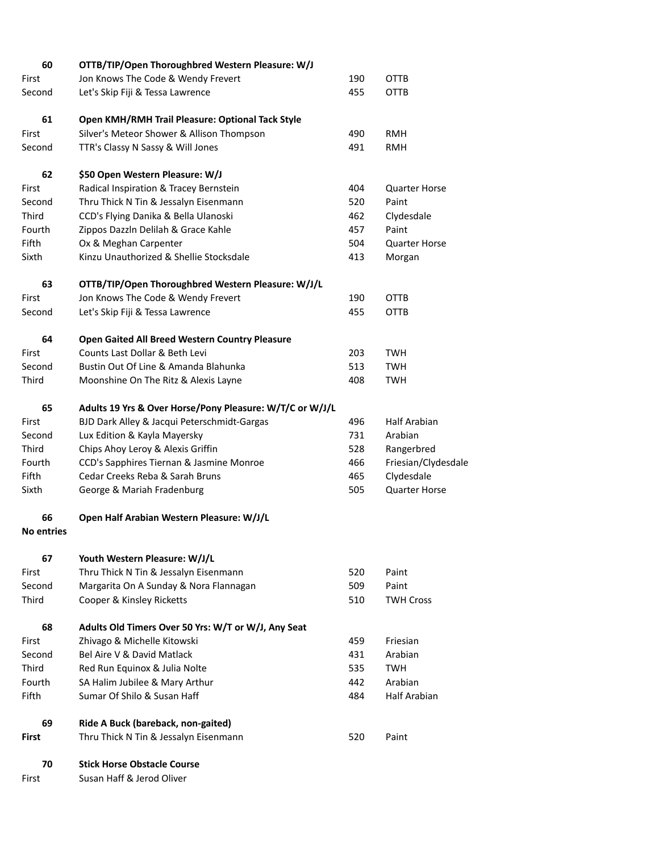| 60                | OTTB/TIP/Open Thoroughbred Western Pleasure: W/J         |     |                      |
|-------------------|----------------------------------------------------------|-----|----------------------|
| First             | Jon Knows The Code & Wendy Frevert                       | 190 | <b>OTTB</b>          |
| Second            | Let's Skip Fiji & Tessa Lawrence                         | 455 | OTTB                 |
| 61                | Open KMH/RMH Trail Pleasure: Optional Tack Style         |     |                      |
| First             | Silver's Meteor Shower & Allison Thompson                | 490 | <b>RMH</b>           |
|                   |                                                          | 491 | RMH                  |
| Second            | TTR's Classy N Sassy & Will Jones                        |     |                      |
| 62                | \$50 Open Western Pleasure: W/J                          |     |                      |
| First             | Radical Inspiration & Tracey Bernstein                   | 404 | <b>Quarter Horse</b> |
| Second            | Thru Thick N Tin & Jessalyn Eisenmann                    | 520 | Paint                |
| Third             | CCD's Flying Danika & Bella Ulanoski                     | 462 | Clydesdale           |
| Fourth            | Zippos Dazzln Delilah & Grace Kahle                      | 457 | Paint                |
| Fifth             | Ox & Meghan Carpenter                                    | 504 | <b>Quarter Horse</b> |
| Sixth             | Kinzu Unauthorized & Shellie Stocksdale                  | 413 | Morgan               |
| 63                | OTTB/TIP/Open Thoroughbred Western Pleasure: W/J/L       |     |                      |
| First             | Jon Knows The Code & Wendy Frevert                       | 190 | <b>OTTB</b>          |
| Second            | Let's Skip Fiji & Tessa Lawrence                         | 455 | OTTB                 |
|                   |                                                          |     |                      |
| 64                | Open Gaited All Breed Western Country Pleasure           |     |                      |
| First             | Counts Last Dollar & Beth Levi                           | 203 | TWH                  |
| Second            | Bustin Out Of Line & Amanda Blahunka                     | 513 | <b>TWH</b>           |
| Third             | Moonshine On The Ritz & Alexis Layne                     | 408 | <b>TWH</b>           |
| 65                | Adults 19 Yrs & Over Horse/Pony Pleasure: W/T/C or W/J/L |     |                      |
| First             | BJD Dark Alley & Jacqui Peterschmidt-Gargas              | 496 | Half Arabian         |
| Second            | Lux Edition & Kayla Mayersky                             | 731 | Arabian              |
| Third             | Chips Ahoy Leroy & Alexis Griffin                        | 528 | Rangerbred           |
| Fourth            | CCD's Sapphires Tiernan & Jasmine Monroe                 | 466 | Friesian/Clydesdale  |
| Fifth             | Cedar Creeks Reba & Sarah Bruns                          | 465 | Clydesdale           |
| Sixth             | George & Mariah Fradenburg                               | 505 | <b>Quarter Horse</b> |
| 66                | Open Half Arabian Western Pleasure: W/J/L                |     |                      |
| <b>No entries</b> |                                                          |     |                      |
| 67                | Youth Western Pleasure: W/J/L                            |     |                      |
| First             | Thru Thick N Tin & Jessalyn Eisenmann                    | 520 | Paint                |
| Second            | Margarita On A Sunday & Nora Flannagan                   | 509 | Paint                |
| Third             | Cooper & Kinsley Ricketts                                | 510 | <b>TWH Cross</b>     |
|                   |                                                          |     |                      |
| 68                | Adults Old Timers Over 50 Yrs: W/T or W/J, Any Seat      |     |                      |
| First             | Zhivago & Michelle Kitowski                              | 459 | Friesian             |
| Second            | Bel Aire V & David Matlack                               | 431 | Arabian              |
| Third             | Red Run Equinox & Julia Nolte                            | 535 | TWH                  |
| Fourth            | SA Halim Jubilee & Mary Arthur                           | 442 | Arabian              |
| Fifth             | Sumar Of Shilo & Susan Haff                              | 484 | Half Arabian         |
| 69                | Ride A Buck (bareback, non-gaited)                       |     |                      |
| <b>First</b>      | Thru Thick N Tin & Jessalyn Eisenmann                    | 520 | Paint                |
| 70                | <b>Stick Horse Obstacle Course</b>                       |     |                      |
| First             | Susan Haff & Jerod Oliver                                |     |                      |
|                   |                                                          |     |                      |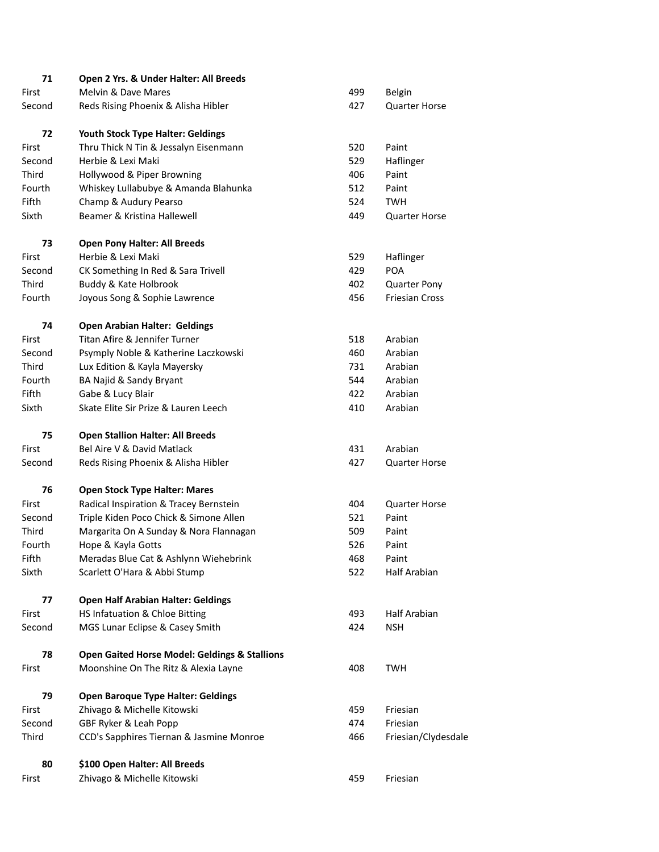| 71     | Open 2 Yrs. & Under Halter: All Breeds                   |     |                       |
|--------|----------------------------------------------------------|-----|-----------------------|
| First  | Melvin & Dave Mares                                      | 499 | Belgin                |
| Second | Reds Rising Phoenix & Alisha Hibler                      | 427 | <b>Quarter Horse</b>  |
| 72     | Youth Stock Type Halter: Geldings                        |     |                       |
| First  | Thru Thick N Tin & Jessalyn Eisenmann                    | 520 | Paint                 |
| Second | Herbie & Lexi Maki                                       | 529 | Haflinger             |
| Third  | Hollywood & Piper Browning                               | 406 | Paint                 |
| Fourth | Whiskey Lullabubye & Amanda Blahunka                     | 512 | Paint                 |
| Fifth  | Champ & Audury Pearso                                    | 524 | <b>TWH</b>            |
| Sixth  | Beamer & Kristina Hallewell                              | 449 | <b>Quarter Horse</b>  |
| 73     | <b>Open Pony Halter: All Breeds</b>                      |     |                       |
| First  | Herbie & Lexi Maki                                       | 529 | Haflinger             |
| Second | CK Something In Red & Sara Trivell                       | 429 | POA                   |
| Third  | Buddy & Kate Holbrook                                    | 402 | <b>Quarter Pony</b>   |
| Fourth | Joyous Song & Sophie Lawrence                            | 456 | <b>Friesian Cross</b> |
| 74     | <b>Open Arabian Halter: Geldings</b>                     |     |                       |
| First  | Titan Afire & Jennifer Turner                            | 518 | Arabian               |
| Second | Psymply Noble & Katherine Laczkowski                     | 460 | Arabian               |
| Third  | Lux Edition & Kayla Mayersky                             | 731 | Arabian               |
| Fourth | BA Najid & Sandy Bryant                                  | 544 | Arabian               |
| Fifth  | Gabe & Lucy Blair                                        | 422 | Arabian               |
| Sixth  | Skate Elite Sir Prize & Lauren Leech                     | 410 | Arabian               |
| 75     | <b>Open Stallion Halter: All Breeds</b>                  |     |                       |
| First  | Bel Aire V & David Matlack                               | 431 | Arabian               |
| Second | Reds Rising Phoenix & Alisha Hibler                      | 427 | <b>Quarter Horse</b>  |
| 76     | <b>Open Stock Type Halter: Mares</b>                     |     |                       |
| First  | Radical Inspiration & Tracey Bernstein                   | 404 | <b>Quarter Horse</b>  |
| Second | Triple Kiden Poco Chick & Simone Allen                   | 521 | Paint                 |
| Third  | Margarita On A Sunday & Nora Flannagan                   | 509 | Paint                 |
| Fourth | Hope & Kayla Gotts                                       | 526 | Paint                 |
| Fifth  | Meradas Blue Cat & Ashlynn Wiehebrink                    | 468 | Paint                 |
| Sixth  | Scarlett O'Hara & Abbi Stump                             | 522 | <b>Half Arabian</b>   |
| 77     | <b>Open Half Arabian Halter: Geldings</b>                |     |                       |
| First  | HS Infatuation & Chloe Bitting                           | 493 | Half Arabian          |
| Second | MGS Lunar Eclipse & Casey Smith                          | 424 | <b>NSH</b>            |
| 78     | <b>Open Gaited Horse Model: Geldings &amp; Stallions</b> |     |                       |
| First  | Moonshine On The Ritz & Alexia Layne                     | 408 | <b>TWH</b>            |
| 79     | <b>Open Baroque Type Halter: Geldings</b>                |     |                       |
| First  | Zhivago & Michelle Kitowski                              | 459 | Friesian              |
| Second | GBF Ryker & Leah Popp                                    | 474 | Friesian              |
| Third  | CCD's Sapphires Tiernan & Jasmine Monroe                 | 466 | Friesian/Clydesdale   |
| 80     | \$100 Open Halter: All Breeds                            |     |                       |
| First  | Zhivago & Michelle Kitowski                              | 459 | Friesian              |
|        |                                                          |     |                       |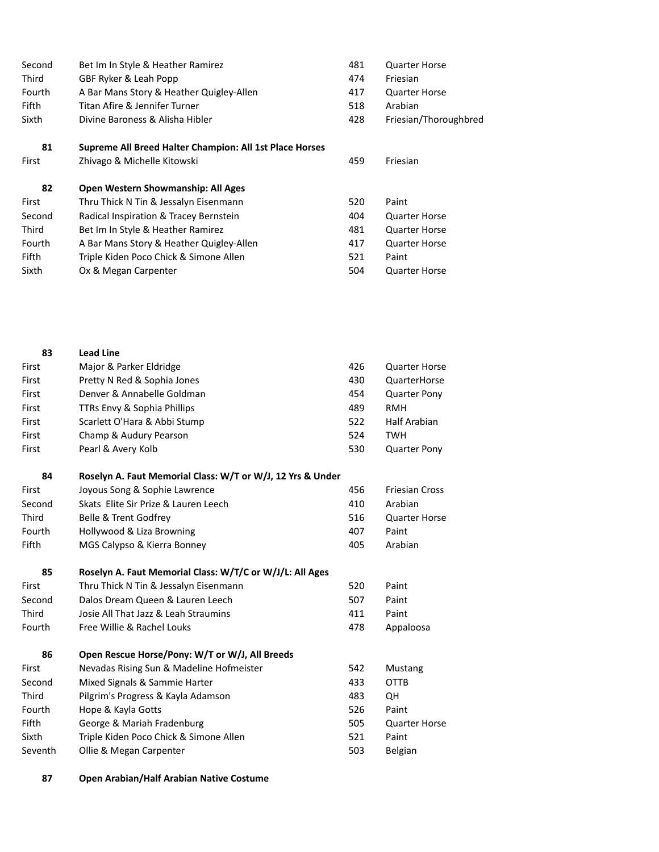| Second       | Bet Im In Style & Heather Ramirez                       | 481 | <b>Quarter Horse</b>  |
|--------------|---------------------------------------------------------|-----|-----------------------|
| <b>Third</b> | GBF Ryker & Leah Popp                                   | 474 | Friesian              |
| Fourth       | A Bar Mans Story & Heather Quigley-Allen                | 417 | <b>Quarter Horse</b>  |
| <b>Fifth</b> | Titan Afire & Jennifer Turner                           | 518 | Arabian               |
| Sixth        | Divine Baroness & Alisha Hibler                         | 428 | Friesian/Thoroughbred |
| 81           | Supreme All Breed Halter Champion: All 1st Place Horses |     |                       |
| First        | Zhivago & Michelle Kitowski                             | 459 | Friesian              |
| 82           | <b>Open Western Showmanship: All Ages</b>               |     |                       |
| First        | Thru Thick N Tin & Jessalyn Eisenmann                   | 520 | Paint                 |
| Second       | Radical Inspiration & Tracey Bernstein                  | 404 | <b>Quarter Horse</b>  |
| Third        | Bet Im In Style & Heather Ramirez                       | 481 | <b>Quarter Horse</b>  |
| Fourth       | A Bar Mans Story & Heather Quigley-Allen                | 417 | <b>Quarter Horse</b>  |

Fifth Triple Kiden Poco Chick & Simone Allen 521 Paint

Sixth Ox & Megan Carpenter 1980 1991 1991 1992 1994 1995 1994 1995 1994 1995 1996 1997 1998 1998 199

| 83     | <b>Lead Line</b>                                           |     |                       |
|--------|------------------------------------------------------------|-----|-----------------------|
| First  | Major & Parker Eldridge                                    | 426 | <b>Quarter Horse</b>  |
| First  | Pretty N Red & Sophia Jones                                | 430 | QuarterHorse          |
| First  | Denver & Annabelle Goldman                                 | 454 | <b>Quarter Pony</b>   |
| First  | TTRs Envy & Sophia Phillips                                | 489 | <b>RMH</b>            |
| First  | Scarlett O'Hara & Abbi Stump                               | 522 | Half Arabian          |
| First  | Champ & Audury Pearson                                     | 524 | <b>TWH</b>            |
| First  | Pearl & Avery Kolb                                         | 530 | <b>Quarter Pony</b>   |
| 84     | Roselyn A. Faut Memorial Class: W/T or W/J, 12 Yrs & Under |     |                       |
| First  | Joyous Song & Sophie Lawrence                              | 456 | <b>Friesian Cross</b> |
| Second | Skats Elite Sir Prize & Lauren Leech                       | 410 | Arabian               |
| Third  | Belle & Trent Godfrey                                      | 516 | <b>Quarter Horse</b>  |
| Fourth | Hollywood & Liza Browning                                  | 407 | Paint                 |
| Fifth  | MGS Calypso & Kierra Bonney                                | 405 | Arabian               |
| 85     | Roselyn A. Faut Memorial Class: W/T/C or W/J/L: All Ages   |     |                       |
| First  | Thru Thick N Tin & Jessalyn Eisenmann                      | 520 | Paint                 |
| Second | Dalos Dream Queen & Lauren Leech                           | 507 | Paint                 |
| Third  | Josie All That Jazz & Leah Straumins                       | 411 | Paint                 |
| Fourth | Free Willie & Rachel Louks                                 | 478 | Appaloosa             |
| 86     | Open Rescue Horse/Pony: W/T or W/J, All Breeds             |     |                       |
| First  | Nevadas Rising Sun & Madeline Hofmeister                   | 542 | <b>Mustang</b>        |
| Second | Mixed Signals & Sammie Harter                              | 433 | <b>OTTB</b>           |
| Third  | Pilgrim's Progress & Kayla Adamson                         | 483 | <b>QH</b>             |
| Fourth | Hope & Kayla Gotts                                         | 526 | Paint                 |

|                                        |     | -                    |
|----------------------------------------|-----|----------------------|
| Hope & Kayla Gotts                     | 526 | Paint                |
| George & Mariah Fradenburg             | 505 | <b>Quarter Horse</b> |
| Triple Kiden Poco Chick & Simone Allen | 521 | Paint                |
| Ollie & Megan Carpenter                | 503 | Belgian              |
|                                        |     |                      |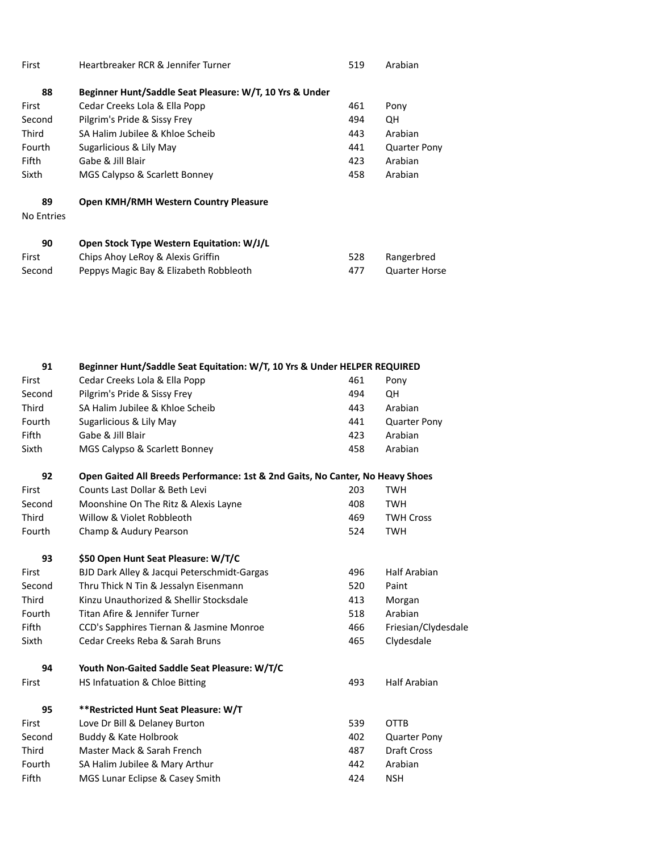| First             | Heartbreaker RCR & Jennifer Turner                      | 519 | Arabian              |
|-------------------|---------------------------------------------------------|-----|----------------------|
| 88                | Beginner Hunt/Saddle Seat Pleasure: W/T, 10 Yrs & Under |     |                      |
| First             | Cedar Creeks Lola & Ella Popp                           | 461 | Pony                 |
| Second            | Pilgrim's Pride & Sissy Frey                            | 494 | QH                   |
| Third             | SA Halim Jubilee & Khloe Scheib                         | 443 | Arabian              |
| Fourth            | Sugarlicious & Lily May                                 | 441 | <b>Quarter Pony</b>  |
| Fifth             | Gabe & Jill Blair                                       | 423 | Arabian              |
| Sixth             | MGS Calypso & Scarlett Bonney                           | 458 | Arabian              |
| 89                | <b>Open KMH/RMH Western Country Pleasure</b>            |     |                      |
| <b>No Entries</b> |                                                         |     |                      |
| 90                | Open Stock Type Western Equitation: W/J/L               |     |                      |
| First             | Chips Ahoy LeRoy & Alexis Griffin                       | 528 | Rangerbred           |
| Second            | Peppys Magic Bay & Elizabeth Robbleoth                  | 477 | <b>Quarter Horse</b> |

| 91     | Beginner Hunt/Saddle Seat Equitation: W/T, 10 Yrs & Under HELPER REQUIRED      |     |                     |
|--------|--------------------------------------------------------------------------------|-----|---------------------|
| First  | Cedar Creeks Lola & Ella Popp                                                  | 461 | Pony                |
| Second | Pilgrim's Pride & Sissy Frey                                                   | 494 | QH                  |
| Third  | SA Halim Jubilee & Khloe Scheib                                                | 443 | Arabian             |
| Fourth | Sugarlicious & Lily May                                                        | 441 | <b>Quarter Pony</b> |
| Fifth  | Gabe & Jill Blair                                                              | 423 | Arabian             |
| Sixth  | MGS Calypso & Scarlett Bonney                                                  | 458 | Arabian             |
| 92     | Open Gaited All Breeds Performance: 1st & 2nd Gaits, No Canter, No Heavy Shoes |     |                     |
| First  | Counts Last Dollar & Beth Levi                                                 | 203 | <b>TWH</b>          |
| Second | Moonshine On The Ritz & Alexis Layne                                           | 408 | <b>TWH</b>          |
| Third  | Willow & Violet Robbleoth                                                      | 469 | <b>TWH Cross</b>    |
| Fourth | Champ & Audury Pearson                                                         | 524 | <b>TWH</b>          |
| 93     | \$50 Open Hunt Seat Pleasure: W/T/C                                            |     |                     |
| First  | BJD Dark Alley & Jacqui Peterschmidt-Gargas                                    | 496 | <b>Half Arabian</b> |
| Second | Thru Thick N Tin & Jessalyn Eisenmann                                          | 520 | Paint               |
| Third  | Kinzu Unauthorized & Shellir Stocksdale                                        | 413 | Morgan              |
| Fourth | Titan Afire & Jennifer Turner                                                  | 518 | Arabian             |
| Fifth  | CCD's Sapphires Tiernan & Jasmine Monroe                                       | 466 | Friesian/Clydesdale |
| Sixth  | Cedar Creeks Reba & Sarah Bruns                                                | 465 | Clydesdale          |
| 94     | Youth Non-Gaited Saddle Seat Pleasure: W/T/C                                   |     |                     |
| First  | HS Infatuation & Chloe Bitting                                                 | 493 | <b>Half Arabian</b> |
| 95     | ** Restricted Hunt Seat Pleasure: W/T                                          |     |                     |
| First  | Love Dr Bill & Delaney Burton                                                  | 539 | <b>OTTB</b>         |
| Second | Buddy & Kate Holbrook                                                          | 402 | <b>Quarter Pony</b> |
| Third  | Master Mack & Sarah French                                                     | 487 | <b>Draft Cross</b>  |
| Fourth | SA Halim Jubilee & Mary Arthur                                                 | 442 | Arabian             |
| Fifth  | MGS Lunar Eclipse & Casey Smith                                                | 424 | <b>NSH</b>          |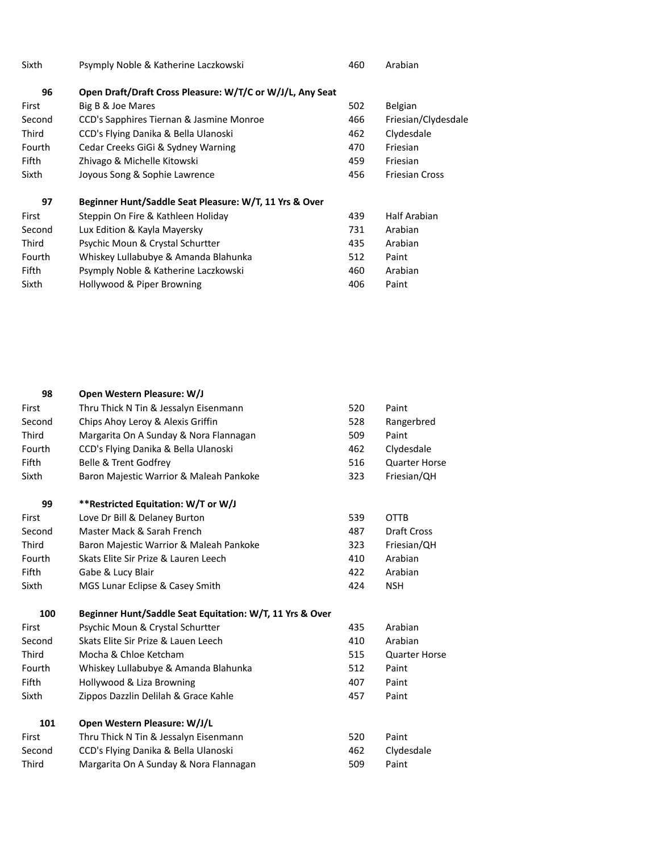| Sixth        | Psymply Noble & Katherine Laczkowski                      | 460 | Arabian               |
|--------------|-----------------------------------------------------------|-----|-----------------------|
| 96           | Open Draft/Draft Cross Pleasure: W/T/C or W/J/L, Any Seat |     |                       |
| First        | Big B & Joe Mares                                         | 502 | Belgian               |
| Second       | CCD's Sapphires Tiernan & Jasmine Monroe                  | 466 | Friesian/Clydesdale   |
| <b>Third</b> | CCD's Flying Danika & Bella Ulanoski                      | 462 | Clydesdale            |
| Fourth       | Cedar Creeks GiGi & Sydney Warning                        | 470 | Friesian              |
| <b>Fifth</b> | Zhivago & Michelle Kitowski                               | 459 | Friesian              |
| Sixth        | Joyous Song & Sophie Lawrence                             | 456 | <b>Friesian Cross</b> |
| 97           | Beginner Hunt/Saddle Seat Pleasure: W/T, 11 Yrs & Over    |     |                       |
| First        | Steppin On Fire & Kathleen Holiday                        | 439 | Half Arabian          |
| Second       | Lux Edition & Kayla Mayersky                              | 731 | Arabian               |
| <b>Third</b> | Psychic Moun & Crystal Schurtter                          | 435 | Arabian               |
| Fourth       | Whiskey Lullabubye & Amanda Blahunka                      | 512 | Paint                 |
| <b>Fifth</b> | Psymply Noble & Katherine Laczkowski                      | 460 | Arabian               |
| Sixth        | Hollywood & Piper Browning                                | 406 | Paint                 |

| 98     | Open Western Pleasure: W/J                               |     |                      |
|--------|----------------------------------------------------------|-----|----------------------|
| First  | Thru Thick N Tin & Jessalyn Eisenmann                    | 520 | Paint                |
| Second | Chips Ahoy Leroy & Alexis Griffin                        | 528 | Rangerbred           |
| Third  | Margarita On A Sunday & Nora Flannagan                   | 509 | Paint                |
| Fourth | CCD's Flying Danika & Bella Ulanoski                     | 462 | Clydesdale           |
| Fifth  | Belle & Trent Godfrey                                    | 516 | <b>Quarter Horse</b> |
| Sixth  | Baron Majestic Warrior & Maleah Pankoke                  | 323 | Friesian/QH          |
| 99     | **Restricted Equitation: W/T or W/J                      |     |                      |
| First  | Love Dr Bill & Delaney Burton                            | 539 | <b>OTTB</b>          |
| Second | Master Mack & Sarah French                               | 487 | Draft Cross          |
| Third  | Baron Majestic Warrior & Maleah Pankoke                  | 323 | Friesian/QH          |
| Fourth | Skats Elite Sir Prize & Lauren Leech                     | 410 | Arabian              |
| Fifth  | Gabe & Lucy Blair                                        | 422 | Arabian              |
| Sixth  | MGS Lunar Eclipse & Casey Smith                          | 424 | <b>NSH</b>           |
| 100    | Beginner Hunt/Saddle Seat Equitation: W/T, 11 Yrs & Over |     |                      |
| First  | Psychic Moun & Crystal Schurtter                         | 435 | Arabian              |
| Second | Skats Elite Sir Prize & Lauen Leech                      | 410 | Arabian              |
| Third  | Mocha & Chloe Ketcham                                    | 515 | <b>Quarter Horse</b> |
| Fourth | Whiskey Lullabubye & Amanda Blahunka                     | 512 | Paint                |
| Fifth  | Hollywood & Liza Browning                                | 407 | Paint                |
| Sixth  | Zippos Dazzlin Delilah & Grace Kahle                     | 457 | Paint                |
| 101    | Open Western Pleasure: W/J/L                             |     |                      |
| First  | Thru Thick N Tin & Jessalyn Eisenmann                    | 520 | Paint                |
| Second | CCD's Flying Danika & Bella Ulanoski                     | 462 | Clydesdale           |
| Third  | Margarita On A Sunday & Nora Flannagan                   | 509 | Paint                |
|        |                                                          |     |                      |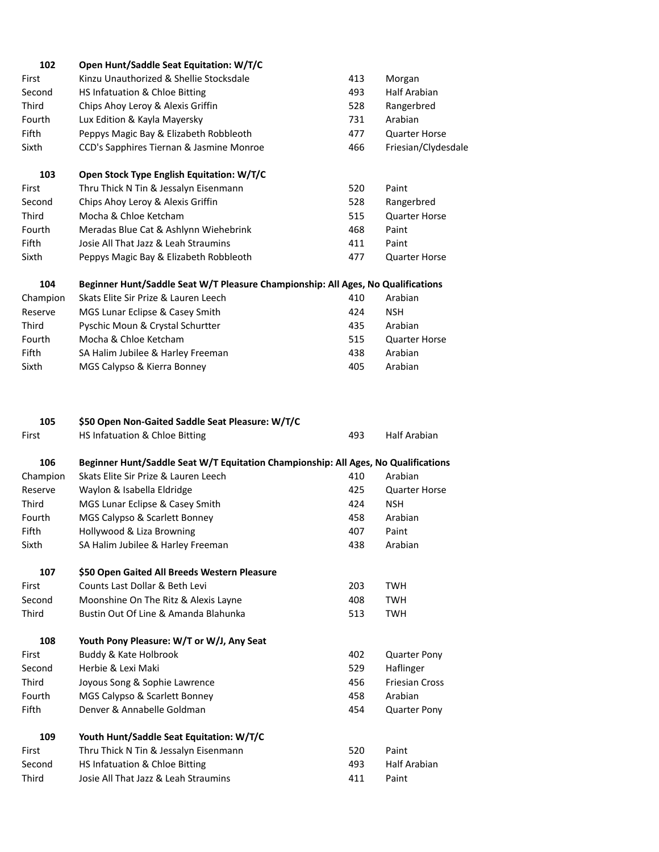| 102          | Open Hunt/Saddle Seat Equitation: W/T/C                                            |     |                       |
|--------------|------------------------------------------------------------------------------------|-----|-----------------------|
| First        | Kinzu Unauthorized & Shellie Stocksdale                                            | 413 | Morgan                |
| Second       | HS Infatuation & Chloe Bitting                                                     | 493 | Half Arabian          |
| Third        | Chips Ahoy Leroy & Alexis Griffin                                                  | 528 | Rangerbred            |
| Fourth       | Lux Edition & Kayla Mayersky                                                       | 731 | Arabian               |
| Fifth        | Peppys Magic Bay & Elizabeth Robbleoth                                             | 477 | <b>Quarter Horse</b>  |
| Sixth        | CCD's Sapphires Tiernan & Jasmine Monroe                                           | 466 | Friesian/Clydesdale   |
| 103          | Open Stock Type English Equitation: W/T/C                                          |     |                       |
| First        | Thru Thick N Tin & Jessalyn Eisenmann                                              | 520 | Paint                 |
| Second       | Chips Ahoy Leroy & Alexis Griffin                                                  | 528 | Rangerbred            |
| Third        | Mocha & Chloe Ketcham                                                              | 515 | <b>Quarter Horse</b>  |
| Fourth       | Meradas Blue Cat & Ashlynn Wiehebrink                                              | 468 | Paint                 |
| Fifth        | Josie All That Jazz & Leah Straumins                                               | 411 | Paint                 |
| Sixth        | Peppys Magic Bay & Elizabeth Robbleoth                                             | 477 | <b>Quarter Horse</b>  |
| 104          | Beginner Hunt/Saddle Seat W/T Pleasure Championship: All Ages, No Qualifications   |     |                       |
| Champion     | Skats Elite Sir Prize & Lauren Leech                                               | 410 | Arabian               |
| Reserve      | MGS Lunar Eclipse & Casey Smith                                                    | 424 | <b>NSH</b>            |
| Third        | Pyschic Moun & Crystal Schurtter                                                   | 435 | Arabian               |
| Fourth       | Mocha & Chloe Ketcham                                                              | 515 | <b>Quarter Horse</b>  |
| Fifth        | SA Halim Jubilee & Harley Freeman                                                  | 438 | Arabian               |
| Sixth        | MGS Calypso & Kierra Bonney                                                        | 405 | Arabian               |
| 105          | \$50 Open Non-Gaited Saddle Seat Pleasure: W/T/C                                   |     |                       |
| First        | HS Infatuation & Chloe Bitting                                                     | 493 | <b>Half Arabian</b>   |
| 106          | Beginner Hunt/Saddle Seat W/T Equitation Championship: All Ages, No Qualifications |     |                       |
| Champion     | Skats Elite Sir Prize & Lauren Leech                                               | 410 | Arabian               |
| Reserve      | Waylon & Isabella Eldridge                                                         | 425 | <b>Quarter Horse</b>  |
| Third        | MGS Lunar Eclipse & Casey Smith                                                    | 424 | <b>NSH</b>            |
| Fourth       | MGS Calypso & Scarlett Bonney                                                      | 458 | Arabian               |
| Fifth        | Hollywood & Liza Browning                                                          | 407 | Paint                 |
| Sixth        | SA Halim Jubilee & Harley Freeman                                                  | 438 | Arabian               |
| 107          | \$50 Open Gaited All Breeds Western Pleasure                                       |     |                       |
| First        | Counts Last Dollar & Beth Levi                                                     | 203 | <b>TWH</b>            |
| Second       | Moonshine On The Ritz & Alexis Layne                                               | 408 | TWH                   |
| Third        | Bustin Out Of Line & Amanda Blahunka                                               | 513 | <b>TWH</b>            |
| 108          | Youth Pony Pleasure: W/T or W/J, Any Seat                                          |     |                       |
| First        | <b>Buddy &amp; Kate Holbrook</b>                                                   | 402 | <b>Quarter Pony</b>   |
| Second       | Herbie & Lexi Maki                                                                 | 529 | Haflinger             |
| Third        | Joyous Song & Sophie Lawrence                                                      | 456 | <b>Friesian Cross</b> |
| Fourth       | MGS Calypso & Scarlett Bonney                                                      | 458 | Arabian               |
| <b>Fifth</b> | Denver & Annabelle Goldman                                                         | 454 | <b>Quarter Pony</b>   |
| 109          | Youth Hunt/Saddle Seat Equitation: W/T/C                                           |     |                       |
| First        | Thru Thick N Tin & Jessalyn Eisenmann                                              | 520 | Paint                 |
| Second       | HS Infatuation & Chloe Bitting                                                     | 493 | <b>Half Arabian</b>   |
| Third        | Josie All That Jazz & Leah Straumins                                               | 411 | Paint                 |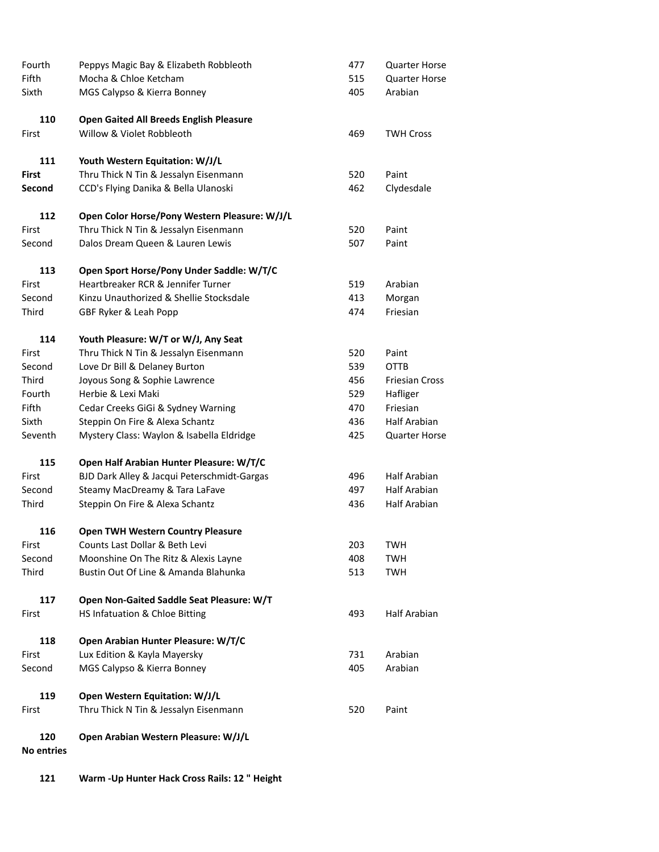| Fifth<br>Sixth<br>110<br>First | Mocha & Chloe Ketcham<br>MGS Calypso & Kierra Bonney<br><b>Open Gaited All Breeds English Pleasure</b><br>Willow & Violet Robbleoth<br>Youth Western Equitation: W/J/L | 515<br>405<br>469 | <b>Quarter Horse</b><br>Arabian<br><b>TWH Cross</b> |
|--------------------------------|------------------------------------------------------------------------------------------------------------------------------------------------------------------------|-------------------|-----------------------------------------------------|
|                                |                                                                                                                                                                        |                   |                                                     |
|                                |                                                                                                                                                                        |                   |                                                     |
|                                |                                                                                                                                                                        |                   |                                                     |
|                                |                                                                                                                                                                        |                   |                                                     |
| 111                            |                                                                                                                                                                        |                   |                                                     |
| <b>First</b>                   | Thru Thick N Tin & Jessalyn Eisenmann                                                                                                                                  | 520               | Paint                                               |
| Second                         | CCD's Flying Danika & Bella Ulanoski                                                                                                                                   | 462               | Clydesdale                                          |
| 112                            | Open Color Horse/Pony Western Pleasure: W/J/L                                                                                                                          |                   |                                                     |
| First                          | Thru Thick N Tin & Jessalyn Eisenmann                                                                                                                                  | 520               | Paint                                               |
| Second                         | Dalos Dream Queen & Lauren Lewis                                                                                                                                       | 507               | Paint                                               |
| 113                            | Open Sport Horse/Pony Under Saddle: W/T/C                                                                                                                              |                   |                                                     |
| First                          | Heartbreaker RCR & Jennifer Turner                                                                                                                                     | 519               | Arabian                                             |
| Second                         | Kinzu Unauthorized & Shellie Stocksdale                                                                                                                                | 413               | Morgan                                              |
| Third                          | GBF Ryker & Leah Popp                                                                                                                                                  | 474               | Friesian                                            |
| 114                            | Youth Pleasure: W/T or W/J, Any Seat                                                                                                                                   |                   |                                                     |
| First                          | Thru Thick N Tin & Jessalyn Eisenmann                                                                                                                                  | 520               | Paint                                               |
| Second                         | Love Dr Bill & Delaney Burton                                                                                                                                          | 539               | <b>OTTB</b>                                         |
| Third                          | Joyous Song & Sophie Lawrence                                                                                                                                          | 456               | <b>Friesian Cross</b>                               |
| Fourth                         | Herbie & Lexi Maki                                                                                                                                                     | 529               | Hafliger                                            |
| Fifth                          | Cedar Creeks GiGi & Sydney Warning                                                                                                                                     | 470               | Friesian                                            |
| Sixth                          | Steppin On Fire & Alexa Schantz                                                                                                                                        | 436               | <b>Half Arabian</b>                                 |
| Seventh                        | Mystery Class: Waylon & Isabella Eldridge                                                                                                                              | 425               | <b>Quarter Horse</b>                                |
| 115                            | Open Half Arabian Hunter Pleasure: W/T/C                                                                                                                               |                   |                                                     |
| First                          | BJD Dark Alley & Jacqui Peterschmidt-Gargas                                                                                                                            | 496               | Half Arabian                                        |
| Second                         | Steamy MacDreamy & Tara LaFave                                                                                                                                         | 497               | <b>Half Arabian</b>                                 |
| Third                          | Steppin On Fire & Alexa Schantz                                                                                                                                        | 436               | <b>Half Arabian</b>                                 |
| 116                            | <b>Open TWH Western Country Pleasure</b>                                                                                                                               |                   |                                                     |
| First                          | Counts Last Dollar & Beth Levi                                                                                                                                         | 203               | <b>TWH</b>                                          |
| Second                         | Moonshine On The Ritz & Alexis Layne                                                                                                                                   | 408               | <b>TWH</b>                                          |
| Third                          | Bustin Out Of Line & Amanda Blahunka                                                                                                                                   | 513               | <b>TWH</b>                                          |
| 117                            | Open Non-Gaited Saddle Seat Pleasure: W/T                                                                                                                              |                   |                                                     |
| First                          | HS Infatuation & Chloe Bitting                                                                                                                                         | 493               | <b>Half Arabian</b>                                 |
| 118                            | Open Arabian Hunter Pleasure: W/T/C                                                                                                                                    |                   |                                                     |
| First                          | Lux Edition & Kayla Mayersky                                                                                                                                           | 731               | Arabian                                             |
| Second                         | MGS Calypso & Kierra Bonney                                                                                                                                            | 405               | Arabian                                             |
| 119                            | Open Western Equitation: W/J/L                                                                                                                                         |                   |                                                     |
| First                          | Thru Thick N Tin & Jessalyn Eisenmann                                                                                                                                  | 520               | Paint                                               |
| 120<br><b>No entries</b>       | Open Arabian Western Pleasure: W/J/L                                                                                                                                   |                   |                                                     |

**121 Warm -Up Hunter Hack Cross Rails: 12 " Height**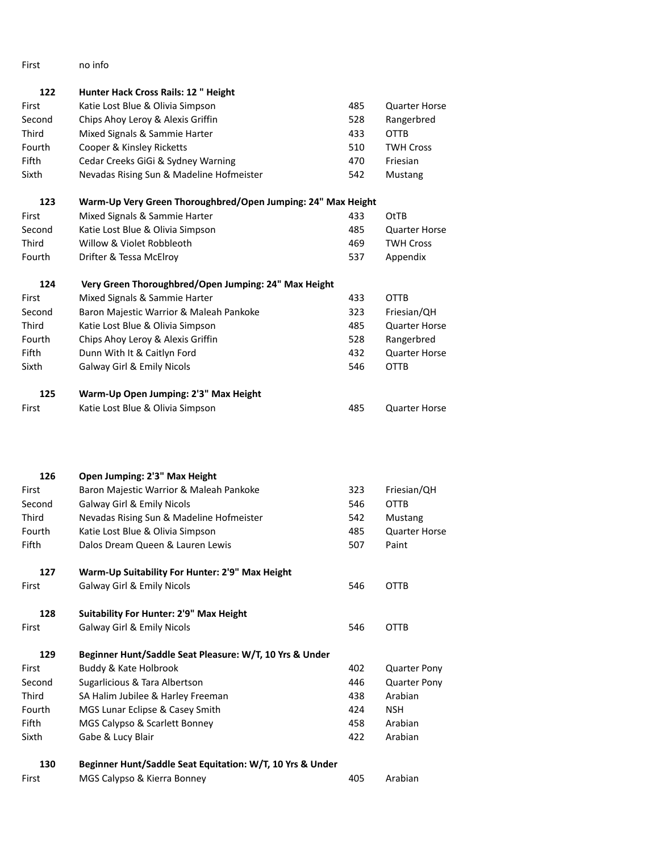First no info

**122 Hunter Hack Cross Rails: 12 " Height**

| First  | Katie Lost Blue & Olivia Simpson                             | 485 | <b>Quarter Horse</b> |
|--------|--------------------------------------------------------------|-----|----------------------|
| Second | Chips Ahoy Leroy & Alexis Griffin                            | 528 | Rangerbred           |
| Third  | Mixed Signals & Sammie Harter                                | 433 | <b>OTTB</b>          |
| Fourth | Cooper & Kinsley Ricketts                                    | 510 | <b>TWH Cross</b>     |
| Fifth  | Cedar Creeks GiGi & Sydney Warning                           | 470 | Friesian             |
| Sixth  | Nevadas Rising Sun & Madeline Hofmeister                     | 542 | Mustang              |
| 123    | Warm-Up Very Green Thoroughbred/Open Jumping: 24" Max Height |     |                      |
| First  | Mixed Signals & Sammie Harter                                | 433 | <b>OtTB</b>          |
| Second | Katie Lost Blue & Olivia Simpson                             | 485 | <b>Quarter Horse</b> |
| Third  | Willow & Violet Robbleoth                                    | 469 | <b>TWH Cross</b>     |
| Fourth | Drifter & Tessa McElroy                                      | 537 | Appendix             |
| 124    | Very Green Thoroughbred/Open Jumping: 24" Max Height         |     |                      |
| First  | Mixed Signals & Sammie Harter                                | 433 | <b>OTTB</b>          |
| Second | Baron Majestic Warrior & Maleah Pankoke                      | 323 | Friesian/QH          |
| Third  | Katie Lost Blue & Olivia Simpson                             | 485 | <b>Quarter Horse</b> |
| Fourth | Chips Ahoy Leroy & Alexis Griffin                            | 528 | Rangerbred           |
| Fifth  | Dunn With It & Caitlyn Ford                                  | 432 | <b>Quarter Horse</b> |
| Sixth  | Galway Girl & Emily Nicols                                   | 546 | <b>OTTB</b>          |
| 125    | Warm-Up Open Jumping: 2'3" Max Height                        |     |                      |
| First  | Katie Lost Blue & Olivia Simpson                             | 485 | <b>Quarter Horse</b> |
|        |                                                              |     |                      |
| 126    | Open Jumping: 2'3" Max Height                                |     |                      |
| First  | Baron Majestic Warrior & Maleah Pankoke                      | 323 | Friesian/QH          |
| Second | <b>Galway Girl &amp; Emily Nicols</b>                        | 546 | <b>OTTB</b>          |
| Third  | Nevadas Rising Sun & Madeline Hofmeister                     | 542 | Mustang              |
| Fourth | Katie Lost Blue & Olivia Simpson                             | 485 | <b>Quarter Horse</b> |
| Fifth  | Dalos Dream Queen & Lauren Lewis                             | 507 | Paint                |
| 127    | Warm-Up Suitability For Hunter: 2'9" Max Height              |     |                      |
| First  | Galway Girl & Emily Nicols                                   | 546 | <b>OTTB</b>          |
| 128    | Suitability For Hunter: 2'9" Max Height                      |     |                      |
| First  | Galway Girl & Emily Nicols                                   | 546 | <b>OTTB</b>          |
| 129    | Beginner Hunt/Saddle Seat Pleasure: W/T, 10 Yrs & Under      |     |                      |
| First  | Buddy & Kate Holbrook                                        | 402 | <b>Quarter Pony</b>  |
| Second | Sugarlicious & Tara Albertson                                | 446 | <b>Quarter Pony</b>  |
| Third  | SA Halim Jubilee & Harley Freeman                            | 438 | Arabian              |
| Fourth | MGS Lunar Eclipse & Casey Smith                              | 424 | <b>NSH</b>           |
| Fifth  | MGS Calypso & Scarlett Bonney                                | 458 | Arabian              |
| Sixth  | Gabe & Lucy Blair                                            | 422 | Arabian              |
| 130    | Beginner Hunt/Saddle Seat Equitation: W/T, 10 Yrs & Under    |     |                      |
| First  | MGS Calypso & Kierra Bonney                                  | 405 | Arabian              |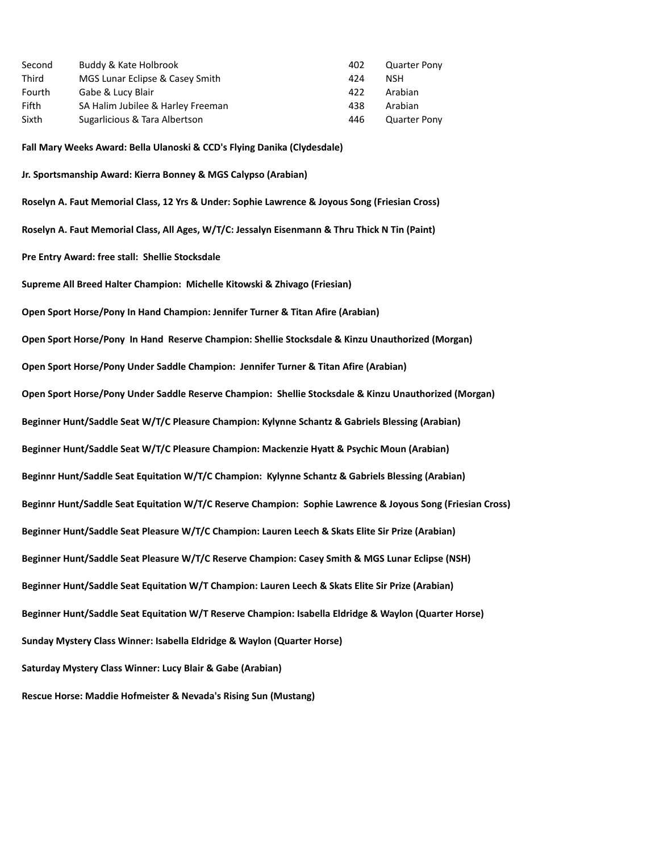| Second        | Buddy & Kate Holbrook             | 402 | <b>Quarter Pony</b> |
|---------------|-----------------------------------|-----|---------------------|
| Third         | MGS Lunar Eclipse & Casey Smith   | 424 | NSH                 |
| <b>Fourth</b> | Gabe & Lucy Blair                 | 422 | Arabian             |
| Fifth         | SA Halim Jubilee & Harley Freeman | 438 | Arabian             |
| Sixth         | Sugarlicious & Tara Albertson     | 446 | <b>Quarter Pony</b> |

**Fall Mary Weeks Award: Bella Ulanoski & CCD's Flying Danika (Clydesdale)**

**Jr. Sportsmanship Award: Kierra Bonney & MGS Calypso (Arabian) Roselyn A. Faut Memorial Class, 12 Yrs & Under: Sophie Lawrence & Joyous Song (Friesian Cross) Roselyn A. Faut Memorial Class, All Ages, W/T/C: Jessalyn Eisenmann & Thru Thick N Tin (Paint) Pre Entry Award: free stall: Shellie Stocksdale Supreme All Breed Halter Champion: Michelle Kitowski & Zhivago (Friesian) Open Sport Horse/Pony In Hand Champion: Jennifer Turner & Titan Afire (Arabian) Open Sport Horse/Pony In Hand Reserve Champion: Shellie Stocksdale & Kinzu Unauthorized (Morgan) Open Sport Horse/Pony Under Saddle Champion: Jennifer Turner & Titan Afire (Arabian) Open Sport Horse/Pony Under Saddle Reserve Champion: Shellie Stocksdale & Kinzu Unauthorized (Morgan) Beginner Hunt/Saddle Seat W/T/C Pleasure Champion: Kylynne Schantz & Gabriels Blessing (Arabian) Beginner Hunt/Saddle Seat W/T/C Pleasure Champion: Mackenzie Hyatt & Psychic Moun (Arabian) Beginnr Hunt/Saddle Seat Equitation W/T/C Champion: Kylynne Schantz & Gabriels Blessing (Arabian) Beginnr Hunt/Saddle Seat Equitation W/T/C Reserve Champion: Sophie Lawrence & Joyous Song (Friesian Cross) Beginner Hunt/Saddle Seat Pleasure W/T/C Champion: Lauren Leech & Skats Elite Sir Prize (Arabian) Beginner Hunt/Saddle Seat Pleasure W/T/C Reserve Champion: Casey Smith & MGS Lunar Eclipse (NSH) Beginner Hunt/Saddle Seat Equitation W/T Champion: Lauren Leech & Skats Elite Sir Prize (Arabian) Beginner Hunt/Saddle Seat Equitation W/T Reserve Champion: Isabella Eldridge & Waylon (Quarter Horse) Sunday Mystery Class Winner: Isabella Eldridge & Waylon (Quarter Horse) Saturday Mystery Class Winner: Lucy Blair & Gabe (Arabian) Rescue Horse: Maddie Hofmeister & Nevada's Rising Sun (Mustang)**